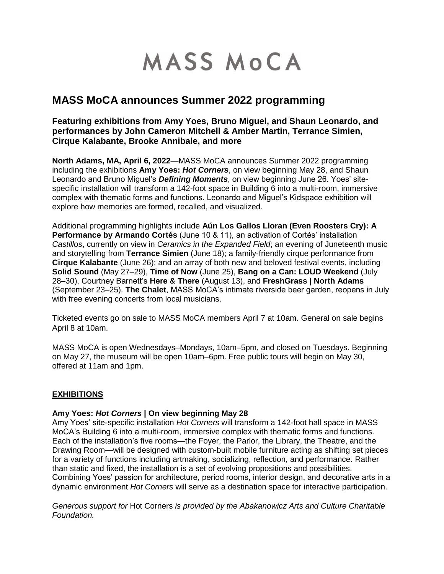# MASS MOCA

# **MASS MoCA announces Summer 2022 programming**

**Featuring exhibitions from Amy Yoes, Bruno Miguel, and Shaun Leonardo, and performances by John Cameron Mitchell & Amber Martin, Terrance Simien, Cirque Kalabante, Brooke Annibale, and more**

**North Adams, MA, April 6, 2022**—MASS MoCA announces Summer 2022 programming including the exhibitions **Amy Yoes:** *Hot Corners*, on view beginning May 28, and Shaun Leonardo and Bruno Miguel's *Defining Moments*, on view beginning June 26. Yoes' sitespecific installation will transform a 142-foot space in Building 6 into a multi-room, immersive complex with thematic forms and functions. Leonardo and Miguel's Kidspace exhibition will explore how memories are formed, recalled, and visualized.

Additional programming highlights include **Aún Los Gallos Lloran (Even Roosters Cry): A Performance by Armando Cortés** (June 10 & 11), an activation of Cortés' installation *Castillos*, currently on view in *Ceramics in the Expanded Field*; an evening of Juneteenth music and storytelling from **Terrance Simien** (June 18); a family-friendly cirque performance from **Cirque Kalabante** (June 26); and an array of both new and beloved festival events, including **Solid Sound** (May 27–29), **Time of Now** (June 25), **Bang on a Can: LOUD Weekend** (July 28–30), Courtney Barnett's **Here & There** (August 13), and **FreshGrass | North Adams** (September 23–25). **The Chalet**, MASS MoCA's intimate riverside beer garden, reopens in July with free evening concerts from local musicians.

Ticketed events go on sale to MASS MoCA members April 7 at 10am. General on sale begins April 8 at 10am.

MASS MoCA is open Wednesdays–Mondays, 10am–5pm, and closed on Tuesdays. Beginning on May 27, the museum will be open 10am–6pm. Free public tours will begin on May 30, offered at 11am and 1pm.

# **EXHIBITIONS**

#### **Amy Yoes:** *Hot Corners* **| On view beginning May 28**

Amy Yoes' site-specific installation *Hot Corners* will transform a 142-foot hall space in MASS MoCA's Building 6 into a multi-room, immersive complex with thematic forms and functions. Each of the installation's five rooms—the Foyer, the Parlor, the Library, the Theatre, and the Drawing Room—will be designed with custom-built mobile furniture acting as shifting set pieces for a variety of functions including artmaking, socializing, reflection, and performance. Rather than static and fixed, the installation is a set of evolving propositions and possibilities. Combining Yoes' passion for architecture, period rooms, interior design, and decorative arts in a dynamic environment *Hot Corners* will serve as a destination space for interactive participation.

*Generous support for* Hot Corners *is provided by the Abakanowicz Arts and Culture Charitable Foundation.*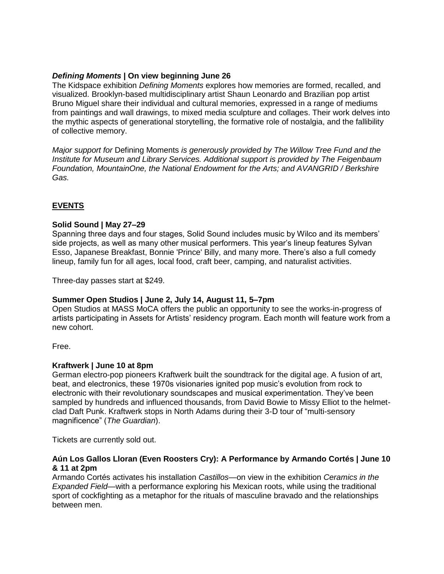# *Defining Moments* **| On view beginning June 26**

The Kidspace exhibition *Defining Moments* explores how memories are formed, recalled, and visualized. Brooklyn-based multidisciplinary artist Shaun Leonardo and Brazilian pop artist Bruno Miguel share their individual and cultural memories, expressed in a range of mediums from paintings and wall drawings, to mixed media sculpture and collages. Their work delves into the mythic aspects of generational storytelling, the formative role of nostalgia, and the fallibility of collective memory.

*Major support for* Defining Moments *is generously provided by The Willow Tree Fund and the Institute for Museum and Library Services. Additional support is provided by The Feigenbaum Foundation, MountainOne, the National Endowment for the Arts; and AVANGRID / Berkshire Gas.*

# **EVENTS**

#### **Solid Sound | May 27–29**

Spanning three days and four stages, Solid Sound includes music by Wilco and its members' side projects, as well as many other musical performers. This year's lineup features Sylvan Esso, Japanese Breakfast, Bonnie 'Prince' Billy, and many more. There's also a full comedy lineup, family fun for all ages, local food, craft beer, camping, and naturalist activities.

Three-day passes start at \$249.

#### **Summer Open Studios | June 2, July 14, August 11, 5–7pm**

Open Studios at MASS MoCA offers the public an opportunity to see the works-in-progress of artists participating in Assets for Artists' residency program. Each month will feature work from a new cohort.

Free.

#### **Kraftwerk | June 10 at 8pm**

German electro-pop pioneers Kraftwerk built the soundtrack for the digital age. A fusion of art, beat, and electronics, these 1970s visionaries ignited pop music's evolution from rock to electronic with their revolutionary soundscapes and musical experimentation. They've been sampled by hundreds and influenced thousands, from David Bowie to Missy Elliot to the helmetclad Daft Punk. Kraftwerk stops in North Adams during their 3-D tour of "multi-sensory magnificence" (*The Guardian*).

Tickets are currently sold out.

#### **Aún Los Gallos Lloran (Even Roosters Cry): A Performance by Armando Cortés | June 10 & 11 at 2pm**

Armando Cortés activates his installation *Castillos*—on view in the exhibition *Ceramics in the Expanded Field*—with a performance exploring his Mexican roots, while using the traditional sport of cockfighting as a metaphor for the rituals of masculine bravado and the relationships between men.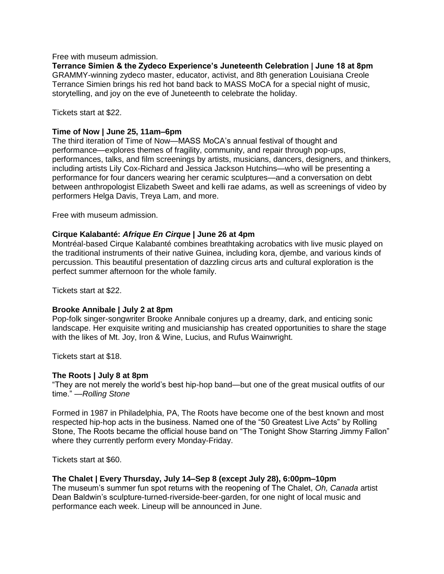Free with museum admission.

**Terrance Simien & the Zydeco Experience's Juneteenth Celebration | June 18 at 8pm** GRAMMY-winning zydeco master, educator, activist, and 8th generation Louisiana Creole Terrance Simien brings his red hot band back to MASS MoCA for a special night of music, storytelling, and joy on the eve of Juneteenth to celebrate the holiday.

Tickets start at \$22.

# **Time of Now | June 25, 11am–6pm**

The third iteration of Time of Now—MASS MoCA's annual festival of thought and performance—explores themes of fragility, community, and repair through pop-ups, performances, talks, and film screenings by artists, musicians, dancers, designers, and thinkers, including artists Lily Cox-Richard and Jessica Jackson Hutchins—who will be presenting a performance for four dancers wearing her ceramic sculptures—and a conversation on debt between anthropologist Elizabeth Sweet and kelli rae adams, as well as screenings of video by performers Helga Davis, Treya Lam, and more.

Free with museum admission.

#### **Cirque Kalabanté:** *Afrique En Cirque* **| June 26 at 4pm**

Montréal-based Cirque Kalabanté combines breathtaking acrobatics with live music played on the traditional instruments of their native Guinea, including kora, djembe, and various kinds of percussion. This beautiful presentation of dazzling circus arts and cultural exploration is the perfect summer afternoon for the whole family.

Tickets start at \$22.

#### **Brooke Annibale | July 2 at 8pm**

Pop-folk singer-songwriter Brooke Annibale conjures up a dreamy, dark, and enticing sonic landscape. Her exquisite writing and musicianship has created opportunities to share the stage with the likes of Mt. Joy, Iron & Wine, Lucius, and Rufus Wainwright.

Tickets start at \$18.

#### **The Roots | July 8 at 8pm**

"They are not merely the world's best hip-hop band—but one of the great musical outfits of our time." —*Rolling Stone*

Formed in 1987 in Philadelphia, PA, The Roots have become one of the best known and most respected hip-hop acts in the business. Named one of the "50 Greatest Live Acts" by Rolling Stone, The Roots became the official house band on "The Tonight Show Starring Jimmy Fallon" where they currently perform every Monday-Friday.

Tickets start at \$60.

#### **The Chalet | Every Thursday, July 14–Sep 8 (except July 28), 6:00pm–10pm**

The museum's summer fun spot returns with the reopening of The Chalet, *Oh, Canada* artist Dean Baldwin's sculpture-turned-riverside-beer-garden, for one night of local music and performance each week. Lineup will be announced in June.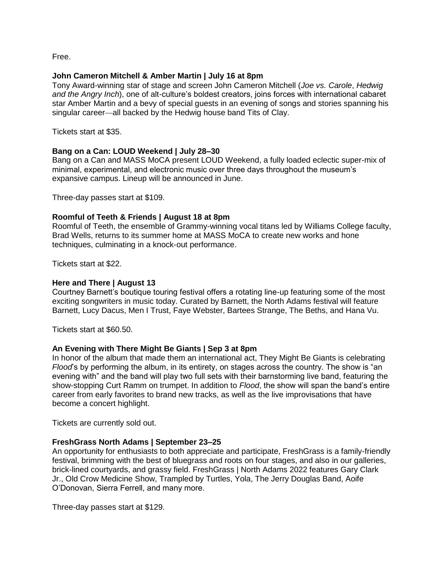Free.

# **John Cameron Mitchell & Amber Martin | July 16 at 8pm**

Tony Award-winning star of stage and screen John Cameron Mitchell (*Joe vs. Carole*, *Hedwig and the Angry Inch*), one of alt-culture's boldest creators, joins forces with international cabaret star Amber Martin and a bevy of special guests in an evening of songs and stories spanning his singular career—all backed by the Hedwig house band Tits of Clay.

Tickets start at \$35.

# **Bang on a Can: LOUD Weekend | July 28–30**

Bang on a Can and MASS MoCA present LOUD Weekend, a fully loaded eclectic super-mix of minimal, experimental, and electronic music over three days throughout the museum's expansive campus. Lineup will be announced in June.

Three-day passes start at \$109.

# **Roomful of Teeth & Friends | August 18 at 8pm**

Roomful of Teeth, the ensemble of Grammy-winning vocal titans led by Williams College faculty, Brad Wells, returns to its summer home at MASS MoCA to create new works and hone techniques, culminating in a knock-out performance.

Tickets start at \$22.

# **Here and There | August 13**

Courtney Barnett's boutique touring festival offers a rotating line-up featuring some of the most exciting songwriters in music today. Curated by Barnett, the North Adams festival will feature Barnett, Lucy Dacus, Men I Trust, Faye Webster, Bartees Strange, The Beths, and Hana Vu.

Tickets start at \$60.50.

# **An Evening with There Might Be Giants | Sep 3 at 8pm**

In honor of the album that made them an international act, They Might Be Giants is celebrating *Flood*'s by performing the album, in its entirety, on stages across the country. The show is "an evening with" and the band will play two full sets with their barnstorming live band, featuring the show-stopping Curt Ramm on trumpet. In addition to *Flood*, the show will span the band's entire career from early favorites to brand new tracks, as well as the live improvisations that have become a concert highlight.

Tickets are currently sold out.

#### **FreshGrass North Adams | September 23–25**

An opportunity for enthusiasts to both appreciate and participate, FreshGrass is a family-friendly festival, brimming with the best of bluegrass and roots on four stages, and also in our galleries, brick-lined courtyards, and grassy field. FreshGrass | North Adams 2022 features Gary Clark Jr., Old Crow Medicine Show, Trampled by Turtles, Yola, The Jerry Douglas Band, Aoife O'Donovan, Sierra Ferrell, and many more.

Three-day passes start at \$129.